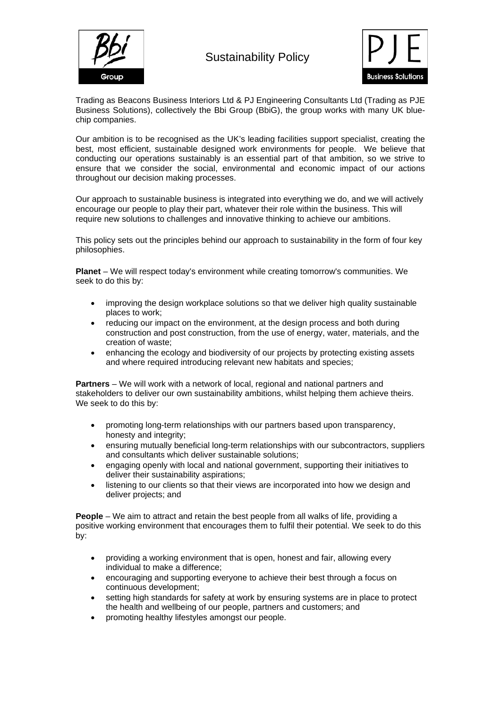



Trading as Beacons Business Interiors Ltd & PJ Engineering Consultants Ltd (Trading as PJE Business Solutions), collectively the Bbi Group (BbiG), the group works with many UK bluechip companies.

Our ambition is to be recognised as the UK's leading facilities support specialist, creating the best, most efficient, sustainable designed work environments for people. We believe that conducting our operations sustainably is an essential part of that ambition, so we strive to ensure that we consider the social, environmental and economic impact of our actions throughout our decision making processes.

Our approach to sustainable business is integrated into everything we do, and we will actively encourage our people to play their part, whatever their role within the business. This will require new solutions to challenges and innovative thinking to achieve our ambitions.

This policy sets out the principles behind our approach to sustainability in the form of four key philosophies.

**Planet** – We will respect today's environment while creating tomorrow's communities. We seek to do this by:

- improving the design workplace solutions so that we deliver high quality sustainable places to work;
- reducing our impact on the environment, at the design process and both during construction and post construction, from the use of energy, water, materials, and the creation of waste;
- enhancing the ecology and biodiversity of our projects by protecting existing assets and where required introducing relevant new habitats and species;

**Partners** – We will work with a network of local, regional and national partners and stakeholders to deliver our own sustainability ambitions, whilst helping them achieve theirs. We seek to do this by:

- promoting long-term relationships with our partners based upon transparency, honesty and integrity:
- ensuring mutually beneficial long-term relationships with our subcontractors, suppliers and consultants which deliver sustainable solutions;
- engaging openly with local and national government, supporting their initiatives to deliver their sustainability aspirations;
- listening to our clients so that their views are incorporated into how we design and deliver projects; and

**People** – We aim to attract and retain the best people from all walks of life, providing a positive working environment that encourages them to fulfil their potential. We seek to do this by:

- providing a working environment that is open, honest and fair, allowing every individual to make a difference;
- encouraging and supporting everyone to achieve their best through a focus on continuous development;
- setting high standards for safety at work by ensuring systems are in place to protect the health and wellbeing of our people, partners and customers; and
- promoting healthy lifestyles amongst our people.